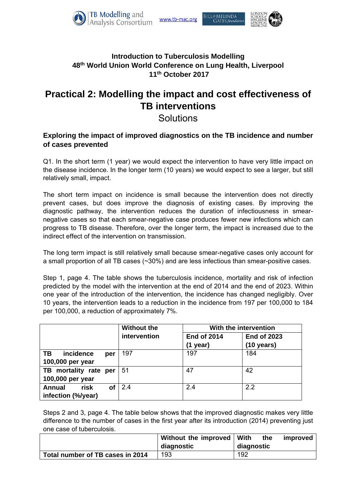





## **Introduction to Tuberculosis Modelling 48th World Union World Conference on Lung Health, Liverpool 11th October 2017**

# **Practical 2: Modelling the impact and cost effectiveness of TB interventions**

# **Solutions**

## **Exploring the impact of improved diagnostics on the TB incidence and number of cases prevented**

Q1. In the short term (1 year) we would expect the intervention to have very little impact on the disease incidence. In the longer term (10 years) we would expect to see a larger, but still relatively small, impact.

The short term impact on incidence is small because the intervention does not directly prevent cases, but does improve the diagnosis of existing cases. By improving the diagnostic pathway, the intervention reduces the duration of infectiousness in smearnegative cases so that each smear-negative case produces fewer new infections which can progress to TB disease. Therefore, over the longer term, the impact is increased due to the indirect effect of the intervention on transmission.

The long term impact is still relatively small because smear-negative cases only account for a small proportion of all TB cases (~30%) and are less infectious than smear-positive cases.

Step 1, page 4. The table shows the tuberculosis incidence, mortality and risk of infection predicted by the model with the intervention at the end of 2014 and the end of 2023. Within one year of the introduction of the intervention, the incidence has changed negligibly. Over 10 years, the intervention leads to a reduction in the incidence from 197 per 100,000 to 184 per 100,000, a reduction of approximately 7%.

|                       |           | <b>Without the</b> | With the intervention |                      |  |
|-----------------------|-----------|--------------------|-----------------------|----------------------|--|
|                       |           | intervention       | <b>End of 2014</b>    | <b>End of 2023</b>   |  |
|                       |           |                    | $(1$ year)            | $(10 \text{ years})$ |  |
| incidence<br>TB.      | per       | 197                | 197                   | 184                  |  |
| 100,000 per year      |           |                    |                       |                      |  |
| TB mortality rate per |           | 51                 | 47                    | 42                   |  |
| 100,000 per year      |           |                    |                       |                      |  |
| risk<br>Annual        | <b>of</b> | 2.4                | 2.4                   | 2.2                  |  |
| infection (%/year)    |           |                    |                       |                      |  |

Steps 2 and 3, page 4. The table below shows that the improved diagnostic makes very little difference to the number of cases in the first year after its introduction (2014) preventing just one case of tuberculosis.

|                                  | Without the improved | With       | the | improved |
|----------------------------------|----------------------|------------|-----|----------|
|                                  | diagnostic           | diagnostic |     |          |
| Total number of TB cases in 2014 | 193                  | 192        |     |          |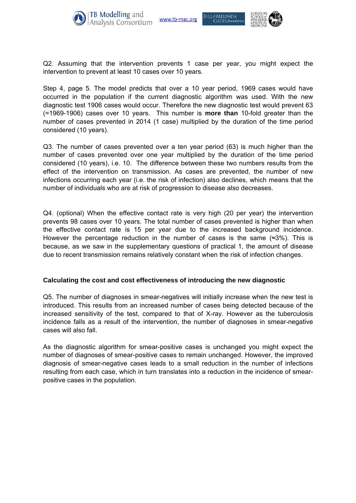





Step 4, page 5. The model predicts that over a 10 year period, 1969 cases would have occurred in the population if the current diagnostic algorithm was used. With the new diagnostic test 1906 cases would occur. Therefore the new diagnostic test would prevent 63 (=1969-1906) cases over 10 years. This number is **more than** 10-fold greater than the number of cases prevented in 2014 (1 case) multiplied by the duration of the time period considered (10 years).

Q3. The number of cases prevented over a ten year period (63) is much higher than the number of cases prevented over one year multiplied by the duration of the time period considered (10 years), i.e. 10. The difference between these two numbers results from the effect of the intervention on transmission. As cases are prevented, the number of new infections occurring each year (i.e. the risk of infection) also declines, which means that the number of individuals who are at risk of progression to disease also decreases.

Q4. (optional) When the effective contact rate is very high (20 per year) the intervention prevents 98 cases over 10 years. The total number of cases prevented is higher than when the effective contact rate is 15 per year due to the increased background incidence. However the percentage reduction in the number of cases is the same ( $\approx 3\%$ ). This is because, as we saw in the supplementary questions of practical 1, the amount of disease due to recent transmission remains relatively constant when the risk of infection changes.

#### **Calculating the cost and cost effectiveness of introducing the new diagnostic**

Q5. The number of diagnoses in smear-negatives will initially increase when the new test is introduced. This results from an increased number of cases being detected because of the increased sensitivity of the test, compared to that of X-ray. However as the tuberculosis incidence falls as a result of the intervention, the number of diagnoses in smear-negative cases will also fall.

As the diagnostic algorithm for smear-positive cases is unchanged you might expect the number of diagnoses of smear-positive cases to remain unchanged. However, the improved diagnosis of smear-negative cases leads to a small reduction in the number of infections resulting from each case, which in turn translates into a reduction in the incidence of smearpositive cases in the population.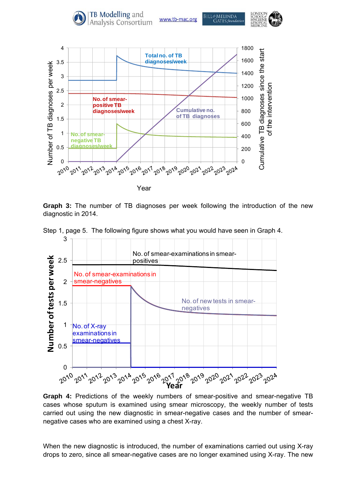

**Graph 3:** The number of TB diagnoses per week following the introduction of the new diagnostic in 2014.

Step 1, page 5. The following figure shows what you would have seen in Graph 4.



**Graph 4:** Predictions of the weekly numbers of smear-positive and smear-negative TB cases whose sputum is examined using smear microscopy, the weekly number of tests carried out using the new diagnostic in smear-negative cases and the number of smearnegative cases who are examined using a chest X-ray.

When the new diagnostic is introduced, the number of examinations carried out using X-ray drops to zero, since all smear-negative cases are no longer examined using X-ray. The new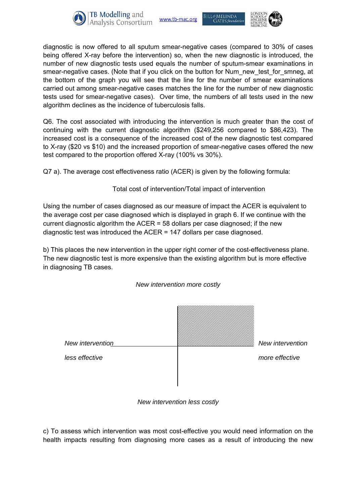





diagnostic is now offered to all sputum smear-negative cases (compared to 30% of cases being offered X-ray before the intervention) so, when the new diagnostic is introduced, the number of new diagnostic tests used equals the number of sputum-smear examinations in smear-negative cases. (Note that if you click on the button for Num\_new\_test\_for\_smneg, at the bottom of the graph you will see that the line for the number of smear examinations carried out among smear-negative cases matches the line for the number of new diagnostic tests used for smear-negative cases). Over time, the numbers of all tests used in the new algorithm declines as the incidence of tuberculosis falls.

Q6. The cost associated with introducing the intervention is much greater than the cost of continuing with the current diagnostic algorithm (\$249,256 compared to \$86,423). The increased cost is a consequence of the increased cost of the new diagnostic test compared to X-ray (\$20 vs \$10) and the increased proportion of smear-negative cases offered the new test compared to the proportion offered X-ray (100% vs 30%).

Q7 a). The average cost effectiveness ratio (ACER) is given by the following formula:

Total cost of intervention/Total impact of intervention

Using the number of cases diagnosed as our measure of impact the ACER is equivalent to the average cost per case diagnosed which is displayed in graph 6. If we continue with the current diagnostic algorithm the ACER  $=$  58 dollars per case diagnosed; if the new diagnostic test was introduced the ACER = 147 dollars per case diagnosed.

b) This places the new intervention in the upper right corner of the cost-effectiveness plane. The new diagnostic test is more expensive than the existing algorithm but is more effective in diagnosing TB cases.



*New intervention less costly* 

c) To assess which intervention was most cost-effective you would need information on the health impacts resulting from diagnosing more cases as a result of introducing the new